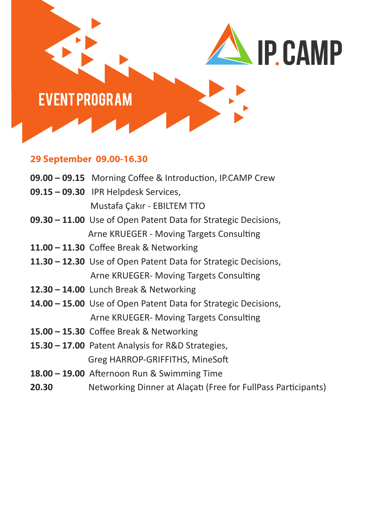

## **29 September 09.00-16.30**

|       | 09.00 - 09.15 Morning Coffee & Introduction, IP.CAMP Crew             |
|-------|-----------------------------------------------------------------------|
|       | 09.15 - 09.30 IPR Helpdesk Services,                                  |
|       | Mustafa Çakır - EBILTEM TTO                                           |
|       | <b>09.30 – 11.00</b> Use of Open Patent Data for Strategic Decisions, |
|       | Arne KRUEGER - Moving Targets Consulting                              |
|       | 11.00 - 11.30 Coffee Break & Networking                               |
|       | 11.30 – 12.30 Use of Open Patent Data for Strategic Decisions,        |
|       | Arne KRUEGER- Moving Targets Consulting                               |
|       | 12.30 - 14.00 Lunch Break & Networking                                |
|       | <b>14.00 – 15.00</b> Use of Open Patent Data for Strategic Decisions, |
|       | Arne KRUEGER- Moving Targets Consulting                               |
|       | 15.00 - 15.30 Coffee Break & Networking                               |
|       | 15.30 - 17.00 Patent Analysis for R&D Strategies,                     |
|       | Greg HARROP-GRIFFITHS, MineSoft                                       |
|       | 18.00 - 19.00 Afternoon Run & Swimming Time                           |
| 20.30 | Networking Dinner at Alaçati (Free for FullPass Participants)         |
|       |                                                                       |